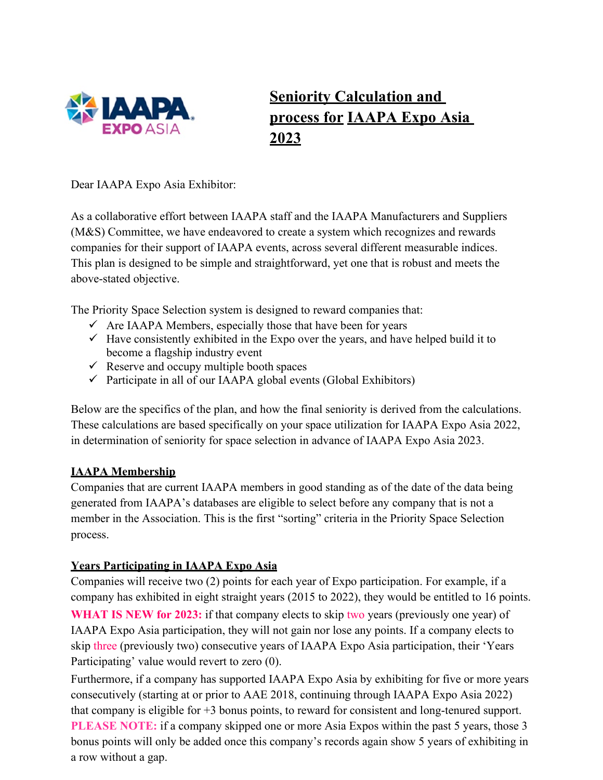

# **Seniority Calculation and process for IAAPA Expo Asia 2023**

Dear IAAPA Expo Asia Exhibitor:

As a collaborative effort between IAAPA staff and the IAAPA Manufacturers and Suppliers (M&S) Committee, we have endeavored to create a system which recognizes and rewards companies for their support of IAAPA events, across several different measurable indices. This plan is designed to be simple and straightforward, yet one that is robust and meets the above-stated objective.

The Priority Space Selection system is designed to reward companies that:

- $\checkmark$  Are IAAPA Members, especially those that have been for years
- $\checkmark$  Have consistently exhibited in the Expo over the years, and have helped build it to become a flagship industry event
- $\checkmark$  Reserve and occupy multiple booth spaces
- $\checkmark$  Participate in all of our IAAPA global events (Global Exhibitors)

Below are the specifics of the plan, and how the final seniority is derived from the calculations. These calculations are based specifically on your space utilization for IAAPA Expo Asia 2022, in determination of seniority for space selection in advance of IAAPA Expo Asia 2023.

# **IAAPA Membership**

Companies that are current IAAPA members in good standing as of the date of the data being generated from IAAPA's databases are eligible to select before any company that is not a member in the Association. This is the first "sorting" criteria in the Priority Space Selection process.

# **Years Participating in IAAPA Expo Asia**

Companies will receive two (2) points for each year of Expo participation. For example, if a company has exhibited in eight straight years (2015 to 2022), they would be entitled to 16 points.

**WHAT IS NEW for 2023:** if that company elects to skip two years (previously one year) of IAAPA Expo Asia participation, they will not gain nor lose any points. If a company elects to skip three (previously two) consecutive years of IAAPA Expo Asia participation, their 'Years Participating' value would revert to zero (0).

Furthermore, if a company has supported IAAPA Expo Asia by exhibiting for five or more years consecutively (starting at or prior to AAE 2018, continuing through IAAPA Expo Asia 2022) that company is eligible for +3 bonus points, to reward for consistent and long-tenured support. **PLEASE NOTE:** if a company skipped one or more Asia Expos within the past 5 years, those 3 bonus points will only be added once this company's records again show 5 years of exhibiting in a row without a gap.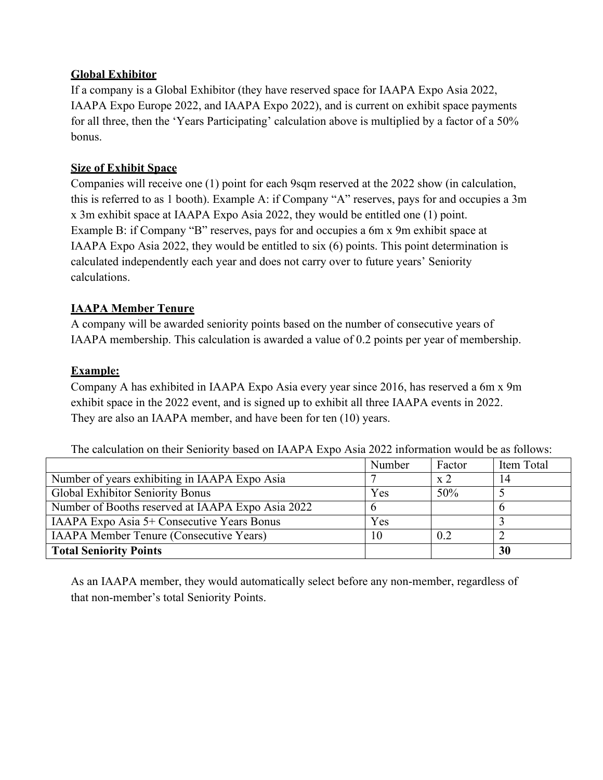#### **Global Exhibitor**

If a company is a Global Exhibitor (they have reserved space for IAAPA Expo Asia 2022, IAAPA Expo Europe 2022, and IAAPA Expo 2022), and is current on exhibit space payments for all three, then the 'Years Participating' calculation above is multiplied by a factor of a 50% bonus.

## **Size of Exhibit Space**

Companies will receive one (1) point for each 9sqm reserved at the 2022 show (in calculation, this is referred to as 1 booth). Example A: if Company "A" reserves, pays for and occupies a 3m x 3m exhibit space at IAAPA Expo Asia 2022, they would be entitled one (1) point. Example B: if Company "B" reserves, pays for and occupies a 6m x 9m exhibit space at IAAPA Expo Asia 2022, they would be entitled to six (6) points. This point determination is calculated independently each year and does not carry over to future years' Seniority calculations.

# **IAAPA Member Tenure**

A company will be awarded seniority points based on the number of consecutive years of IAAPA membership. This calculation is awarded a value of 0.2 points per year of membership.

# **Example:**

Company A has exhibited in IAAPA Expo Asia every year since 2016, has reserved a 6m x 9m exhibit space in the 2022 event, and is signed up to exhibit all three IAAPA events in 2022. They are also an IAAPA member, and have been for ten (10) years.

|                                                   | Number | Factor                      | Item Total |
|---------------------------------------------------|--------|-----------------------------|------------|
| Number of years exhibiting in IAAPA Expo Asia     |        | $\boldsymbol{\mathrm{x}}$ 2 | 14         |
| Global Exhibitor Seniority Bonus                  | Yes    | 50%                         |            |
| Number of Booths reserved at IAAPA Expo Asia 2022 | b      |                             |            |
| IAAPA Expo Asia 5+ Consecutive Years Bonus        | Yes    |                             |            |
| <b>IAAPA Member Tenure (Consecutive Years)</b>    | 10     | 0.2                         |            |
| <b>Total Seniority Points</b>                     |        |                             | 30         |

The calculation on their Seniority based on IAAPA Expo Asia 2022 information would be as follows:

As an IAAPA member, they would automatically select before any non-member, regardless of that non-member's total Seniority Points.